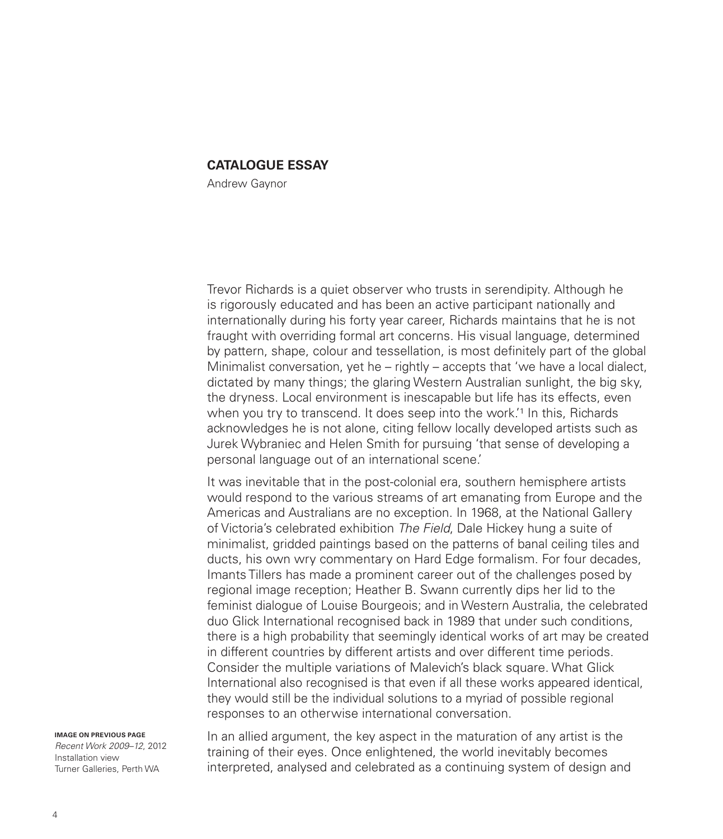## **CATALOGUE ESSAY**

Andrew Gaynor

Trevor Richards is a quiet observer who trusts in serendipity. Although he is rigorously educated and has been an active participant nationally and internationally during his forty year career, Richards maintains that he is not fraught with overriding formal art concerns. His visual language, determined by pattern, shape, colour and tessellation, is most definitely part of the global Minimalist conversation, yet he – rightly – accepts that 'we have a local dialect, dictated by many things; the glaring Western Australian sunlight, the big sky, the dryness. Local environment is inescapable but life has its effects, even when you try to transcend. It does seep into the work.<sup>1</sup> In this, Richards acknowledges he is not alone, citing fellow locally developed artists such as Jurek Wybraniec and Helen Smith for pursuing 'that sense of developing a personal language out of an international scene.'

It was inevitable that in the post-colonial era, southern hemisphere artists would respond to the various streams of art emanating from Europe and the Americas and Australians are no exception. In 1968, at the National Gallery of Victoria's celebrated exhibition *The Field*, Dale Hickey hung a suite of minimalist, gridded paintings based on the patterns of banal ceiling tiles and ducts, his own wry commentary on Hard Edge formalism. For four decades, Imants Tillers has made a prominent career out of the challenges posed by regional image reception; Heather B. Swann currently dips her lid to the feminist dialogue of Louise Bourgeois; and in Western Australia, the celebrated duo Glick International recognised back in 1989 that under such conditions, there is a high probability that seemingly identical works of art may be created in different countries by different artists and over different time periods. Consider the multiple variations of Malevich's black square. What Glick International also recognised is that even if all these works appeared identical, they would still be the individual solutions to a myriad of possible regional responses to an otherwise international conversation.

**IMAGE ON PREVIOUS PAGE** *Recent Work 2009–12*, 2012 Installation view Turner Galleries, Perth WA

In an allied argument, the key aspect in the maturation of any artist is the training of their eyes. Once enlightened, the world inevitably becomes interpreted, analysed and celebrated as a continuing system of design and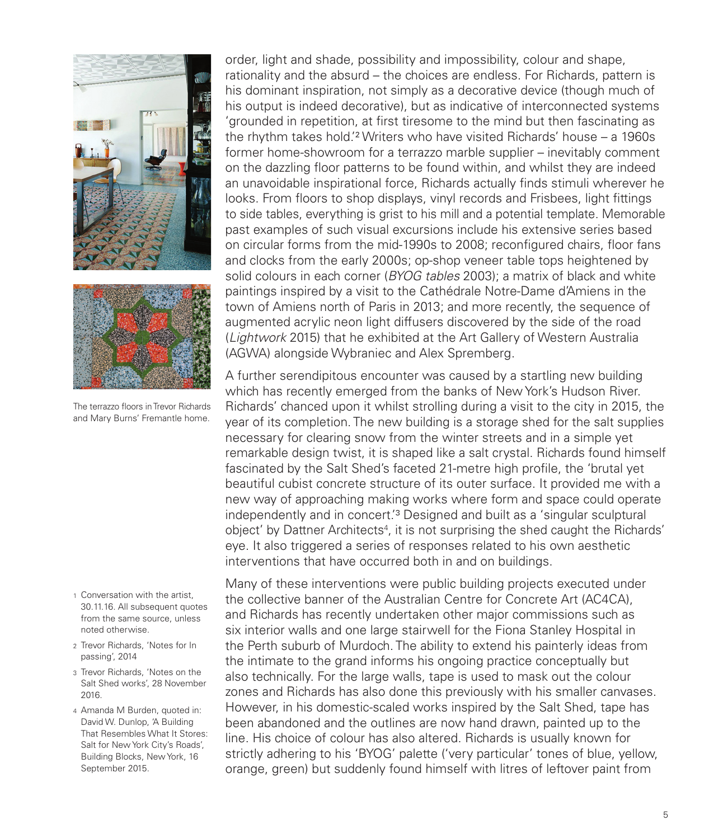

The terrazzo floors in Trevor Richards and Mary Burns' Fremantle home.

- 1 Conversation with the artist, 30.11.16. All subsequent quotes from the same source, unless noted otherwise.
- 2 Trevor Richards, 'Notes for In passing', 2014
- 3 Trevor Richards, 'Notes on the Salt Shed works', 28 November 2016.
- 4 Amanda M Burden, quoted in: David W. Dunlop, 'A Building That Resembles What It Stores: Salt for New York City's Roads', Building Blocks, New York, 16 September 2015.

order, light and shade, possibility and impossibility, colour and shape, rationality and the absurd – the choices are endless. For Richards, pattern is his dominant inspiration, not simply as a decorative device (though much of his output is indeed decorative), but as indicative of interconnected systems 'grounded in repetition, at first tiresome to the mind but then fascinating as the rhythm takes hold.'2 Writers who have visited Richards' house – a 1960s former home-showroom for a terrazzo marble supplier – inevitably comment on the dazzling floor patterns to be found within, and whilst they are indeed an unavoidable inspirational force, Richards actually finds stimuli wherever he looks. From floors to shop displays, vinyl records and Frisbees, light fittings to side tables, everything is grist to his mill and a potential template. Memorable past examples of such visual excursions include his extensive series based on circular forms from the mid-1990s to 2008; reconfigured chairs, floor fans and clocks from the early 2000s; op-shop veneer table tops heightened by solid colours in each corner (*BYOG tables* 2003); a matrix of black and white paintings inspired by a visit to the Cathédrale Notre-Dame d'Amiens in the town of Amiens north of Paris in 2013; and more recently, the sequence of augmented acrylic neon light diffusers discovered by the side of the road (*Lightwork* 2015) that he exhibited at the Art Gallery of Western Australia (AGWA) alongside Wybraniec and Alex Spremberg.

A further serendipitous encounter was caused by a startling new building which has recently emerged from the banks of New York's Hudson River. Richards' chanced upon it whilst strolling during a visit to the city in 2015, the year of its completion. The new building is a storage shed for the salt supplies necessary for clearing snow from the winter streets and in a simple yet remarkable design twist, it is shaped like a salt crystal. Richards found himself fascinated by the Salt Shed's faceted 21-metre high profile, the 'brutal yet beautiful cubist concrete structure of its outer surface. It provided me with a new way of approaching making works where form and space could operate independently and in concert.'3 Designed and built as a 'singular sculptural object' by Dattner Architects<sup>4</sup>, it is not surprising the shed caught the Richards' eye. It also triggered a series of responses related to his own aesthetic interventions that have occurred both in and on buildings.

Many of these interventions were public building projects executed under the collective banner of the Australian Centre for Concrete Art (AC4CA), and Richards has recently undertaken other major commissions such as six interior walls and one large stairwell for the Fiona Stanley Hospital in the Perth suburb of Murdoch. The ability to extend his painterly ideas from the intimate to the grand informs his ongoing practice conceptually but also technically. For the large walls, tape is used to mask out the colour zones and Richards has also done this previously with his smaller canvases. However, in his domestic-scaled works inspired by the Salt Shed, tape has been abandoned and the outlines are now hand drawn, painted up to the line. His choice of colour has also altered. Richards is usually known for strictly adhering to his 'BYOG' palette ('very particular' tones of blue, yellow, orange, green) but suddenly found himself with litres of leftover paint from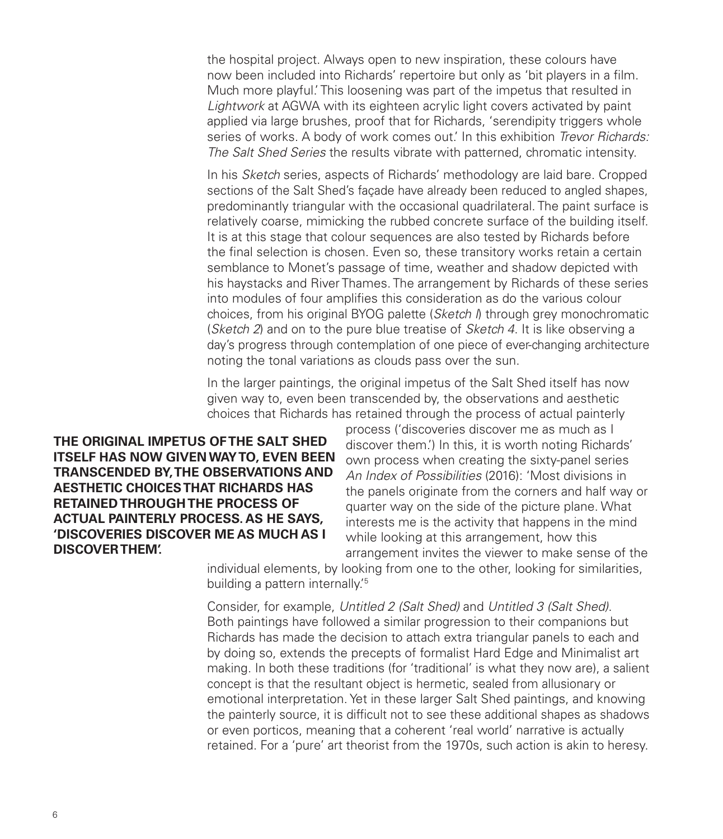the hospital project. Always open to new inspiration, these colours have now been included into Richards' repertoire but only as 'bit players in a film. Much more playful.' This loosening was part of the impetus that resulted in *Lightwork* at AGWA with its eighteen acrylic light covers activated by paint applied via large brushes, proof that for Richards, 'serendipity triggers whole series of works. A body of work comes out.' In this exhibition *Trevor Richards: The Salt Shed Series* the results vibrate with patterned, chromatic intensity.

In his *Sketch* series, aspects of Richards' methodology are laid bare. Cropped sections of the Salt Shed's façade have already been reduced to angled shapes, predominantly triangular with the occasional quadrilateral. The paint surface is relatively coarse, mimicking the rubbed concrete surface of the building itself. It is at this stage that colour sequences are also tested by Richards before the final selection is chosen. Even so, these transitory works retain a certain semblance to Monet's passage of time, weather and shadow depicted with his haystacks and River Thames. The arrangement by Richards of these series into modules of four amplifies this consideration as do the various colour choices, from his original BYOG palette (*Sketch I*) through grey monochromatic (*Sketch 2*) and on to the pure blue treatise of *Sketch 4*. It is like observing a day's progress through contemplation of one piece of ever-changing architecture noting the tonal variations as clouds pass over the sun.

In the larger paintings, the original impetus of the Salt Shed itself has now given way to, even been transcended by, the observations and aesthetic choices that Richards has retained through the process of actual painterly

**THE ORIGINAL IMPETUS OF THE SALT SHED ITSELF HAS NOW GIVEN WAY TO, EVEN BEEN TRANSCENDED BY, THE OBSERVATIONS AND AESTHETIC CHOICES THAT RICHARDS HAS RETAINED THROUGH THE PROCESS OF ACTUAL PAINTERLY PROCESS. AS HE SAYS, 'DISCOVERIES DISCOVER ME AS MUCH AS I DISCOVER THEM'.**

process ('discoveries discover me as much as I discover them.') In this, it is worth noting Richards' own process when creating the sixty-panel series *An Index of Possibilities* (2016): 'Most divisions in the panels originate from the corners and half way or quarter way on the side of the picture plane. What interests me is the activity that happens in the mind while looking at this arrangement, how this arrangement invites the viewer to make sense of the

individual elements, by looking from one to the other, looking for similarities, building a pattern internally.'5

Consider, for example, *Untitled 2 (Salt Shed)* and *Untitled 3 (Salt Shed)*. Both paintings have followed a similar progression to their companions but Richards has made the decision to attach extra triangular panels to each and by doing so, extends the precepts of formalist Hard Edge and Minimalist art making. In both these traditions (for 'traditional' is what they now are), a salient concept is that the resultant object is hermetic, sealed from allusionary or emotional interpretation. Yet in these larger Salt Shed paintings, and knowing the painterly source, it is difficult not to see these additional shapes as shadows or even porticos, meaning that a coherent 'real world' narrative is actually retained. For a 'pure' art theorist from the 1970s, such action is akin to heresy.